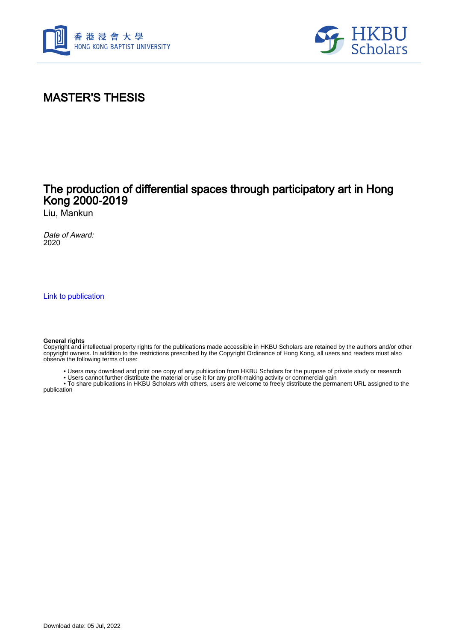



# MASTER'S THESIS

## The production of differential spaces through participatory art in Hong Kong 2000-2019

Liu, Mankun

Date of Award: 2020

[Link to publication](https://scholars.hkbu.edu.hk/en/studentTheses/5cdb9437-967a-4207-91c3-a364b649bf1a)

#### **General rights**

Copyright and intellectual property rights for the publications made accessible in HKBU Scholars are retained by the authors and/or other copyright owners. In addition to the restrictions prescribed by the Copyright Ordinance of Hong Kong, all users and readers must also observe the following terms of use:

- Users may download and print one copy of any publication from HKBU Scholars for the purpose of private study or research
- Users cannot further distribute the material or use it for any profit-making activity or commercial gain

 • To share publications in HKBU Scholars with others, users are welcome to freely distribute the permanent URL assigned to the publication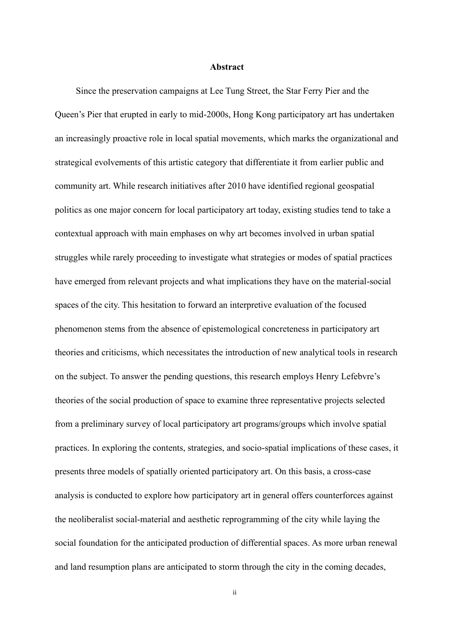### **Abstract**

<span id="page-1-0"></span>Since the preservation campaigns at Lee Tung Street, the Star Ferry Pier and the Queen's Pier that erupted in early to mid-2000s, Hong Kong participatory art has undertaken an increasingly proactive role in local spatial movements, which marks the organizational and strategical evolvements of this artistic category that differentiate it from earlier public and community art. While research initiatives after 2010 have identified regional geospatial politics as one major concern for local participatory art today, existing studies tend to take a contextual approach with main emphases on why art becomes involved in urban spatial struggles while rarely proceeding to investigate what strategies or modes of spatial practices have emerged from relevant projects and what implications they have on the material-social spaces of the city. This hesitation to forward an interpretive evaluation of the focused phenomenon stems from the absence of epistemological concreteness in participatory art theories and criticisms, which necessitates the introduction of new analytical tools in research on the subject. To answer the pending questions, this research employs Henry Lefebvre's theories of the social production of space to examine three representative projects selected from a preliminary survey of local participatory art programs/groups which involve spatial practices. In exploring the contents, strategies, and socio-spatial implications of these cases, it presents three models of spatially oriented participatory art. On this basis, a cross-case analysis is conducted to explore how participatory art in general offers counterforces against the neoliberalist social-material and aesthetic reprogramming of the city while laying the social foundation for the anticipated production of differential spaces. As more urban renewal and land resumption plans are anticipated to storm through the city in the coming decades,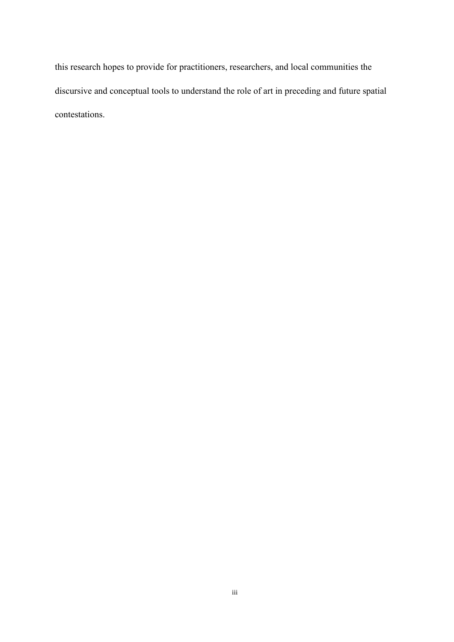this research hopes to provide for practitioners, researchers, and local communities the discursive and conceptual tools to understand the role of art in preceding and future spatial contestations.